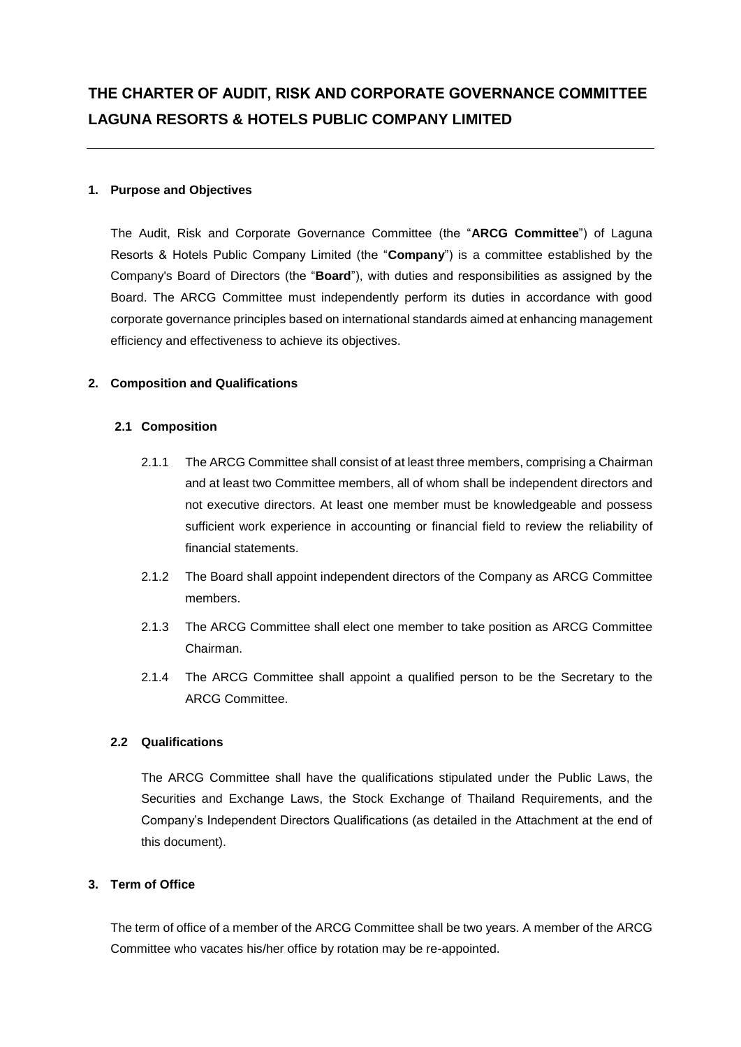### **1. Purpose and Objectives**

The Audit, Risk and Corporate Governance Committee (the "**ARCG Committee**") of Laguna Resorts & Hotels Public Company Limited (the "**Company**") is a committee established by the Company's Board of Directors (the "**Board**"), with duties and responsibilities as assigned by the Board. The ARCG Committee must independently perform its duties in accordance with good corporate governance principles based on international standards aimed at enhancing management efficiency and effectiveness to achieve its objectives.

### **2. Composition and Qualifications**

### **2.1 Composition**

- 2.1.1 The ARCG Committee shall consist of at least three members, comprising a Chairman and at least two Committee members, all of whom shall be independent directors and not executive directors. At least one member must be knowledgeable and possess sufficient work experience in accounting or financial field to review the reliability of financial statements.
- 2.1.2 The Board shall appoint independent directors of the Company as ARCG Committee members.
- 2.1.3 The ARCG Committee shall elect one member to take position as ARCG Committee Chairman.
- 2.1.4 The ARCG Committee shall appoint a qualified person to be the Secretary to the ARCG Committee.

### **2.2 Qualifications**

The ARCG Committee shall have the qualifications stipulated under the Public Laws, the Securities and Exchange Laws, the Stock Exchange of Thailand Requirements, and the Company's Independent Directors Qualifications (as detailed in the Attachment at the end of this document).

### **3. Term of Office**

The term of office of a member of the ARCG Committee shall be two years. A member of the ARCG Committee who vacates his/her office by rotation may be re-appointed.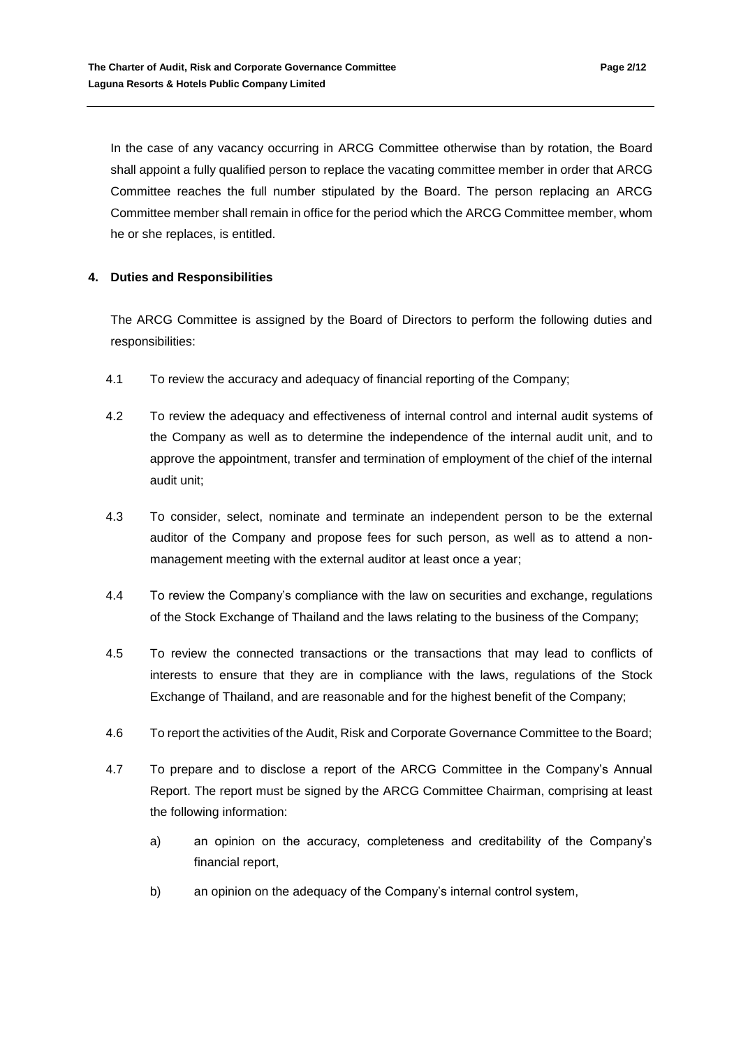In the case of any vacancy occurring in ARCG Committee otherwise than by rotation, the Board shall appoint a fully qualified person to replace the vacating committee member in order that ARCG Committee reaches the full number stipulated by the Board. The person replacing an ARCG Committee member shall remain in office for the period which the ARCG Committee member, whom he or she replaces, is entitled.

# **4. Duties and Responsibilities**

The ARCG Committee is assigned by the Board of Directors to perform the following duties and responsibilities:

- 4.1 To review the accuracy and adequacy of financial reporting of the Company;
- 4.2 To review the adequacy and effectiveness of internal control and internal audit systems of the Company as well as to determine the independence of the internal audit unit, and to approve the appointment, transfer and termination of employment of the chief of the internal audit unit;
- 4.3 To consider, select, nominate and terminate an independent person to be the external auditor of the Company and propose fees for such person, as well as to attend a nonmanagement meeting with the external auditor at least once a year;
- 4.4 To review the Company's compliance with the law on securities and exchange, regulations of the Stock Exchange of Thailand and the laws relating to the business of the Company;
- 4.5 To review the connected transactions or the transactions that may lead to conflicts of interests to ensure that they are in compliance with the laws, regulations of the Stock Exchange of Thailand, and are reasonable and for the highest benefit of the Company;
- 4.6 To report the activities of the Audit, Risk and Corporate Governance Committee to the Board;
- 4.7 To prepare and to disclose a report of the ARCG Committee in the Company's Annual Report. The report must be signed by the ARCG Committee Chairman, comprising at least the following information:
	- a) an opinion on the accuracy, completeness and creditability of the Company's financial report,
	- b) an opinion on the adequacy of the Company's internal control system,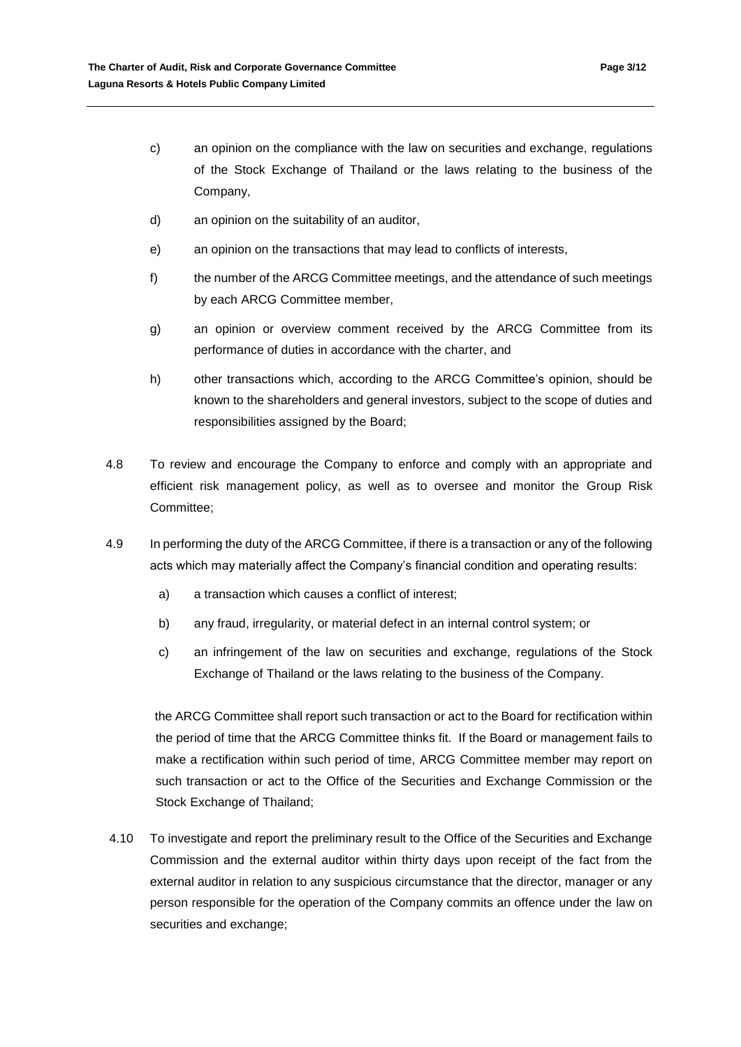- c) an opinion on the compliance with the law on securities and exchange, regulations of the Stock Exchange of Thailand or the laws relating to the business of the Company,
- d) an opinion on the suitability of an auditor,
- e) an opinion on the transactions that may lead to conflicts of interests,
- f) the number of the ARCG Committee meetings, and the attendance of such meetings by each ARCG Committee member,
- g) an opinion or overview comment received by the ARCG Committee from its performance of duties in accordance with the charter, and
- h) other transactions which, according to the ARCG Committee's opinion, should be known to the shareholders and general investors, subject to the scope of duties and responsibilities assigned by the Board;
- 4.8 To review and encourage the Company to enforce and comply with an appropriate and efficient risk management policy, as well as to oversee and monitor the Group Risk Committee;
- 4.9 In performing the duty of the ARCG Committee, if there is a transaction or any of the following acts which may materially affect the Company's financial condition and operating results:
	- a) a transaction which causes a conflict of interest;
	- b) any fraud, irregularity, or material defect in an internal control system; or
	- c) an infringement of the law on securities and exchange, regulations of the Stock Exchange of Thailand or the laws relating to the business of the Company.

the ARCG Committee shall report such transaction or act to the Board for rectification within the period of time that the ARCG Committee thinks fit. If the Board or management fails to make a rectification within such period of time, ARCG Committee member may report on such transaction or act to the Office of the Securities and Exchange Commission or the Stock Exchange of Thailand;

4.10 To investigate and report the preliminary result to the Office of the Securities and Exchange Commission and the external auditor within thirty days upon receipt of the fact from the external auditor in relation to any suspicious circumstance that the director, manager or any person responsible for the operation of the Company commits an offence under the law on securities and exchange;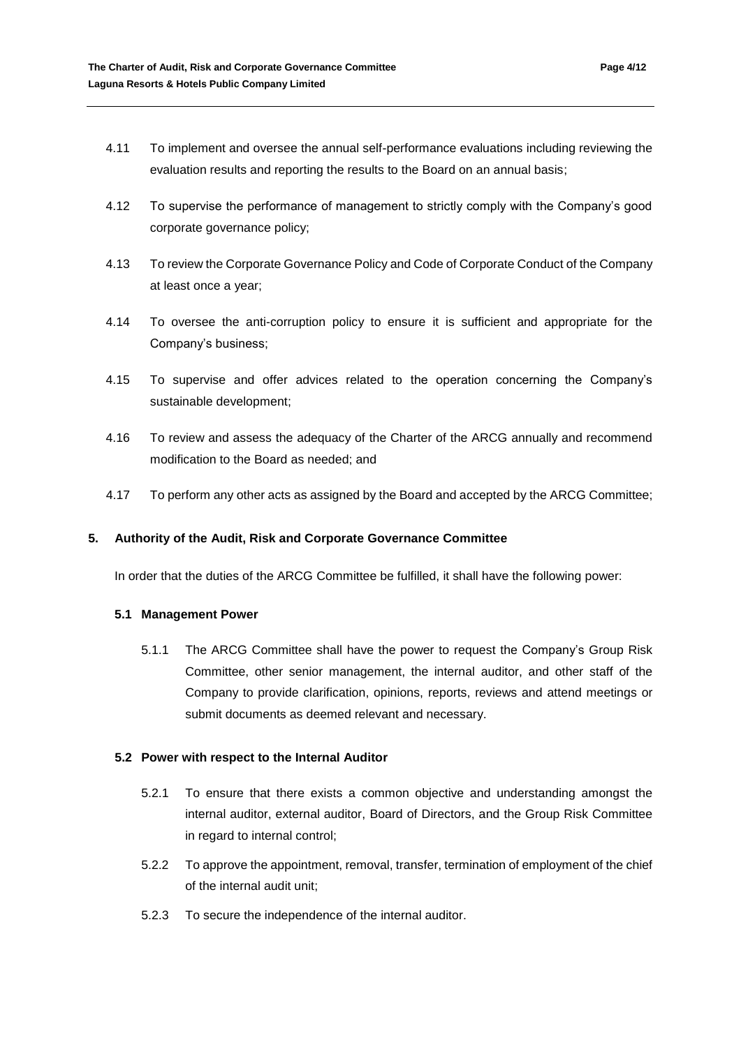- 4.11 To implement and oversee the annual self-performance evaluations including reviewing the evaluation results and reporting the results to the Board on an annual basis;
- 4.12 To supervise the performance of management to strictly comply with the Company's good corporate governance policy;
- 4.13 To review the Corporate Governance Policy and Code of Corporate Conduct of the Company at least once a year;
- 4.14 To oversee the anti-corruption policy to ensure it is sufficient and appropriate for the Company's business;
- 4.15 To supervise and offer advices related to the operation concerning the Company's sustainable development;
- 4.16 To review and assess the adequacy of the Charter of the ARCG annually and recommend modification to the Board as needed; and
- 4.17 To perform any other acts as assigned by the Board and accepted by the ARCG Committee;

## **5. Authority of the Audit, Risk and Corporate Governance Committee**

In order that the duties of the ARCG Committee be fulfilled, it shall have the following power:

### **5.1 Management Power**

5.1.1 The ARCG Committee shall have the power to request the Company's Group Risk Committee, other senior management, the internal auditor, and other staff of the Company to provide clarification, opinions, reports, reviews and attend meetings or submit documents as deemed relevant and necessary.

### **5.2 Power with respect to the Internal Auditor**

- 5.2.1 To ensure that there exists a common objective and understanding amongst the internal auditor, external auditor, Board of Directors, and the Group Risk Committee in regard to internal control;
- 5.2.2 To approve the appointment, removal, transfer, termination of employment of the chief of the internal audit unit;
- 5.2.3 To secure the independence of the internal auditor.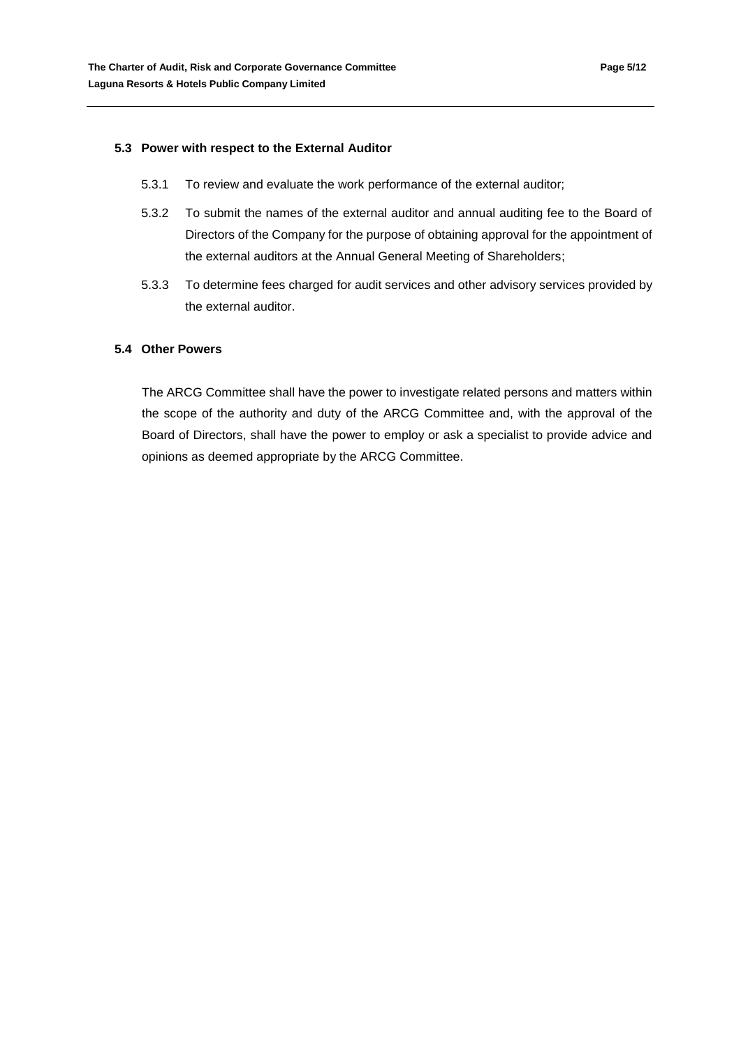#### **5.3 Power with respect to the External Auditor**

- 5.3.1 To review and evaluate the work performance of the external auditor;
- 5.3.2 To submit the names of the external auditor and annual auditing fee to the Board of Directors of the Company for the purpose of obtaining approval for the appointment of the external auditors at the Annual General Meeting of Shareholders;
- 5.3.3 To determine fees charged for audit services and other advisory services provided by the external auditor.

### **5.4 Other Powers**

The ARCG Committee shall have the power to investigate related persons and matters within the scope of the authority and duty of the ARCG Committee and, with the approval of the Board of Directors, shall have the power to employ or ask a specialist to provide advice and opinions as deemed appropriate by the ARCG Committee.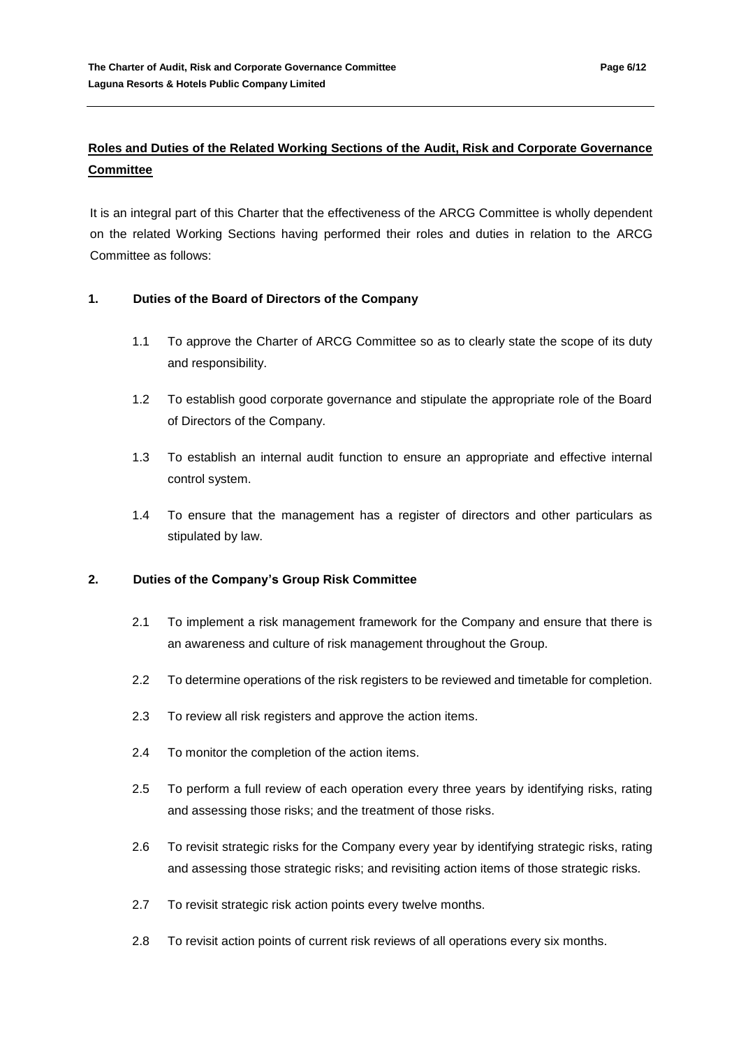# **Roles and Duties of the Related Working Sections of the Audit, Risk and Corporate Governance Committee**

It is an integral part of this Charter that the effectiveness of the ARCG Committee is wholly dependent on the related Working Sections having performed their roles and duties in relation to the ARCG Committee as follows:

# **1. Duties of the Board of Directors of the Company**

- 1.1 To approve the Charter of ARCG Committee so as to clearly state the scope of its duty and responsibility.
- 1.2 To establish good corporate governance and stipulate the appropriate role of the Board of Directors of the Company.
- 1.3 To establish an internal audit function to ensure an appropriate and effective internal control system.
- 1.4 To ensure that the management has a register of directors and other particulars as stipulated by law.

# **2. Duties of the Company's Group Risk Committee**

- 2.1 To implement a risk management framework for the Company and ensure that there is an awareness and culture of risk management throughout the Group.
- 2.2 To determine operations of the risk registers to be reviewed and timetable for completion.
- 2.3 To review all risk registers and approve the action items.
- 2.4 To monitor the completion of the action items.
- 2.5 To perform a full review of each operation every three years by identifying risks, rating and assessing those risks; and the treatment of those risks.
- 2.6 To revisit strategic risks for the Company every year by identifying strategic risks, rating and assessing those strategic risks; and revisiting action items of those strategic risks.
- 2.7 To revisit strategic risk action points every twelve months.
- 2.8 To revisit action points of current risk reviews of all operations every six months.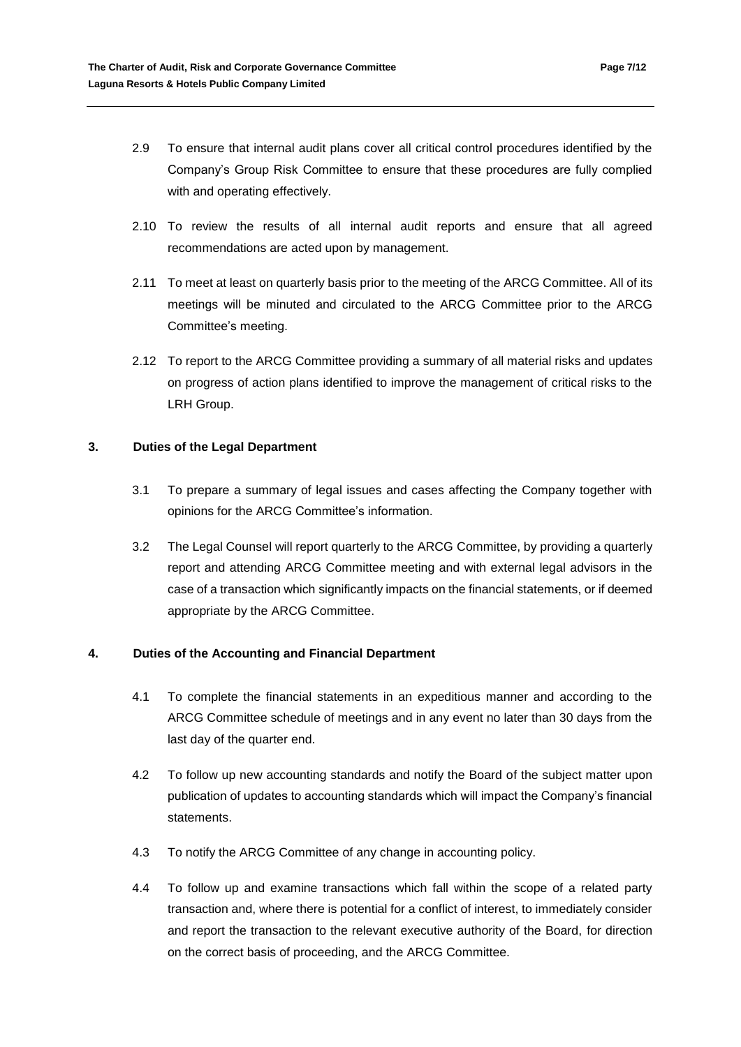- 2.9 To ensure that internal audit plans cover all critical control procedures identified by the Company's Group Risk Committee to ensure that these procedures are fully complied with and operating effectively.
- 2.10 To review the results of all internal audit reports and ensure that all agreed recommendations are acted upon by management.
- 2.11 To meet at least on quarterly basis prior to the meeting of the ARCG Committee. All of its meetings will be minuted and circulated to the ARCG Committee prior to the ARCG Committee's meeting.
- 2.12 To report to the ARCG Committee providing a summary of all material risks and updates on progress of action plans identified to improve the management of critical risks to the LRH Group.

# **3. Duties of the Legal Department**

- 3.1 To prepare a summary of legal issues and cases affecting the Company together with opinions for the ARCG Committee's information.
- 3.2 The Legal Counsel will report quarterly to the ARCG Committee, by providing a quarterly report and attending ARCG Committee meeting and with external legal advisors in the case of a transaction which significantly impacts on the financial statements, or if deemed appropriate by the ARCG Committee.

# **4. Duties of the Accounting and Financial Department**

- 4.1 To complete the financial statements in an expeditious manner and according to the ARCG Committee schedule of meetings and in any event no later than 30 days from the last day of the quarter end.
- 4.2 To follow up new accounting standards and notify the Board of the subject matter upon publication of updates to accounting standards which will impact the Company's financial statements.
- 4.3 To notify the ARCG Committee of any change in accounting policy.
- 4.4 To follow up and examine transactions which fall within the scope of a related party transaction and, where there is potential for a conflict of interest, to immediately consider and report the transaction to the relevant executive authority of the Board, for direction on the correct basis of proceeding, and the ARCG Committee.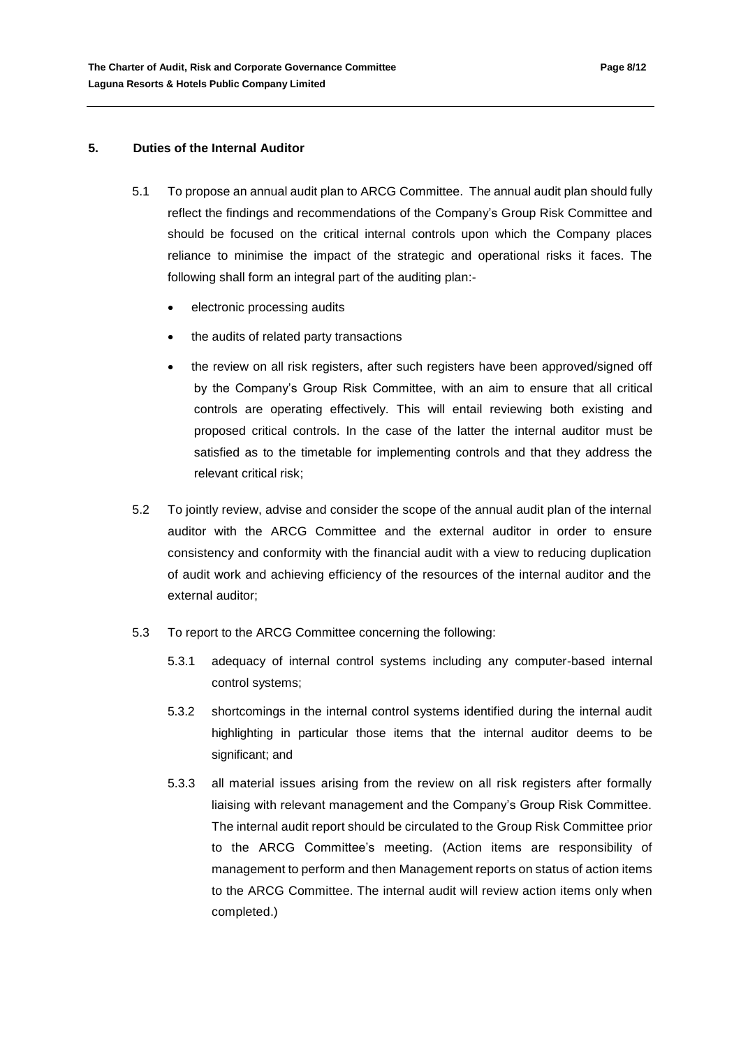### **5. Duties of the Internal Auditor**

- 5.1 To propose an annual audit plan to ARCG Committee. The annual audit plan should fully reflect the findings and recommendations of the Company's Group Risk Committee and should be focused on the critical internal controls upon which the Company places reliance to minimise the impact of the strategic and operational risks it faces. The following shall form an integral part of the auditing plan:
	- electronic processing audits
	- the audits of related party transactions
	- the review on all risk registers, after such registers have been approved/signed off by the Company's Group Risk Committee, with an aim to ensure that all critical controls are operating effectively. This will entail reviewing both existing and proposed critical controls. In the case of the latter the internal auditor must be satisfied as to the timetable for implementing controls and that they address the relevant critical risk;
- 5.2 To jointly review, advise and consider the scope of the annual audit plan of the internal auditor with the ARCG Committee and the external auditor in order to ensure consistency and conformity with the financial audit with a view to reducing duplication of audit work and achieving efficiency of the resources of the internal auditor and the external auditor;
- 5.3 To report to the ARCG Committee concerning the following:
	- 5.3.1 adequacy of internal control systems including any computer-based internal control systems;
	- 5.3.2 shortcomings in the internal control systems identified during the internal audit highlighting in particular those items that the internal auditor deems to be significant; and
	- 5.3.3 all material issues arising from the review on all risk registers after formally liaising with relevant management and the Company's Group Risk Committee. The internal audit report should be circulated to the Group Risk Committee prior to the ARCG Committee's meeting. (Action items are responsibility of management to perform and then Management reports on status of action items to the ARCG Committee. The internal audit will review action items only when completed.)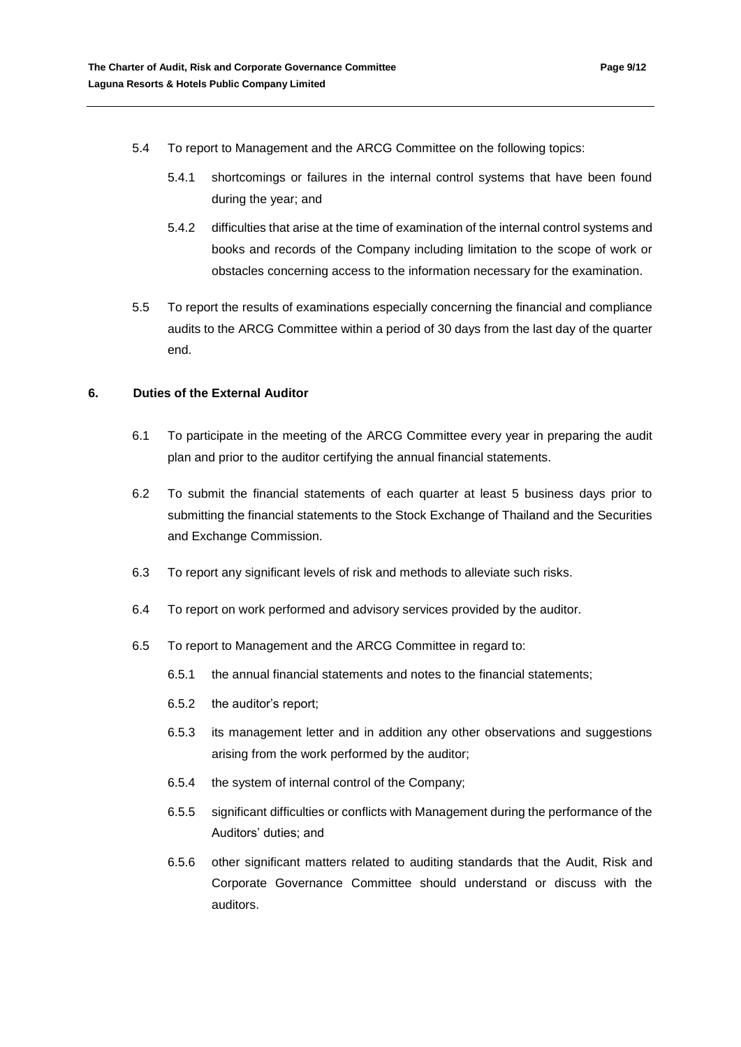- 5.4 To report to Management and the ARCG Committee on the following topics:
	- 5.4.1 shortcomings or failures in the internal control systems that have been found during the year; and
	- 5.4.2 difficulties that arise at the time of examination of the internal control systems and books and records of the Company including limitation to the scope of work or obstacles concerning access to the information necessary for the examination.
- 5.5 To report the results of examinations especially concerning the financial and compliance audits to the ARCG Committee within a period of 30 days from the last day of the quarter end.

### **6. Duties of the External Auditor**

- 6.1 To participate in the meeting of the ARCG Committee every year in preparing the audit plan and prior to the auditor certifying the annual financial statements.
- 6.2 To submit the financial statements of each quarter at least 5 business days prior to submitting the financial statements to the Stock Exchange of Thailand and the Securities and Exchange Commission.
- 6.3 To report any significant levels of risk and methods to alleviate such risks.
- 6.4 To report on work performed and advisory services provided by the auditor.
- 6.5 To report to Management and the ARCG Committee in regard to:
	- 6.5.1 the annual financial statements and notes to the financial statements;
	- 6.5.2 the auditor's report;
	- 6.5.3 its management letter and in addition any other observations and suggestions arising from the work performed by the auditor;
	- 6.5.4 the system of internal control of the Company;
	- 6.5.5 significant difficulties or conflicts with Management during the performance of the Auditors' duties; and
	- 6.5.6 other significant matters related to auditing standards that the Audit, Risk and Corporate Governance Committee should understand or discuss with the auditors.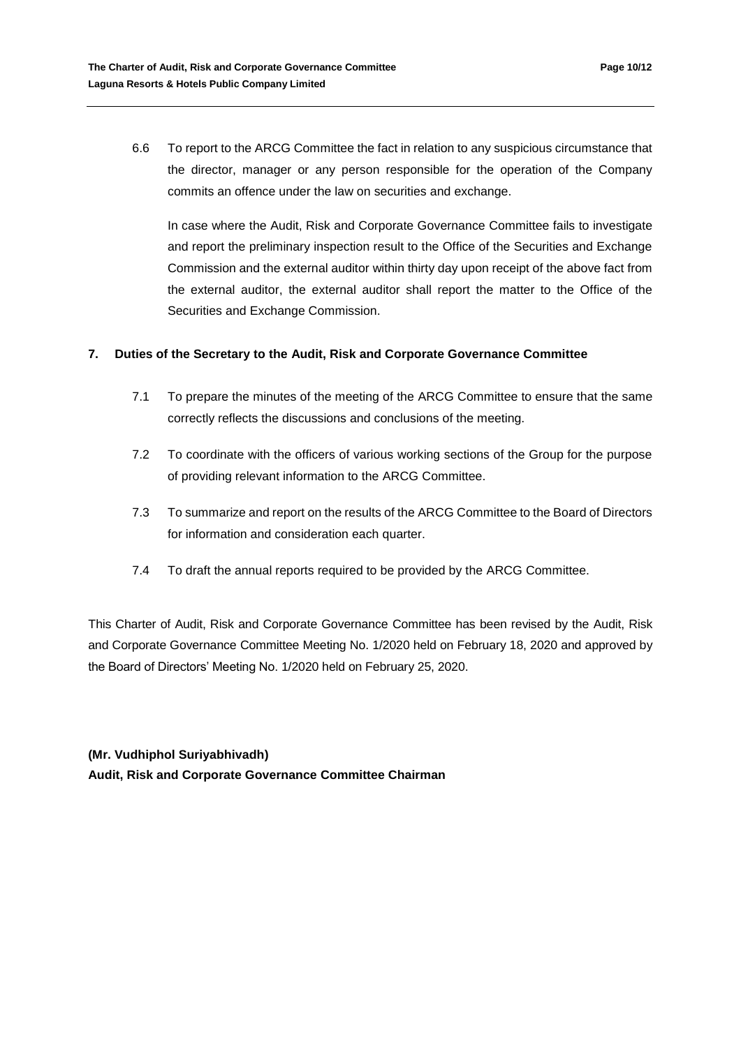In case where the Audit, Risk and Corporate Governance Committee fails to investigate and report the preliminary inspection result to the Office of the Securities and Exchange Commission and the external auditor within thirty day upon receipt of the above fact from the external auditor, the external auditor shall report the matter to the Office of the Securities and Exchange Commission.

# **7. Duties of the Secretary to the Audit, Risk and Corporate Governance Committee**

- 7.1 To prepare the minutes of the meeting of the ARCG Committee to ensure that the same correctly reflects the discussions and conclusions of the meeting.
- 7.2 To coordinate with the officers of various working sections of the Group for the purpose of providing relevant information to the ARCG Committee.
- 7.3 To summarize and report on the results of the ARCG Committee to the Board of Directors for information and consideration each quarter.
- 7.4 To draft the annual reports required to be provided by the ARCG Committee.

This Charter of Audit, Risk and Corporate Governance Committee has been revised by the Audit, Risk and Corporate Governance Committee Meeting No. 1/2020 held on February 18, 2020 and approved by the Board of Directors' Meeting No. 1/2020 held on February 25, 2020.

**(Mr. Vudhiphol Suriyabhivadh) Audit, Risk and Corporate Governance Committee Chairman**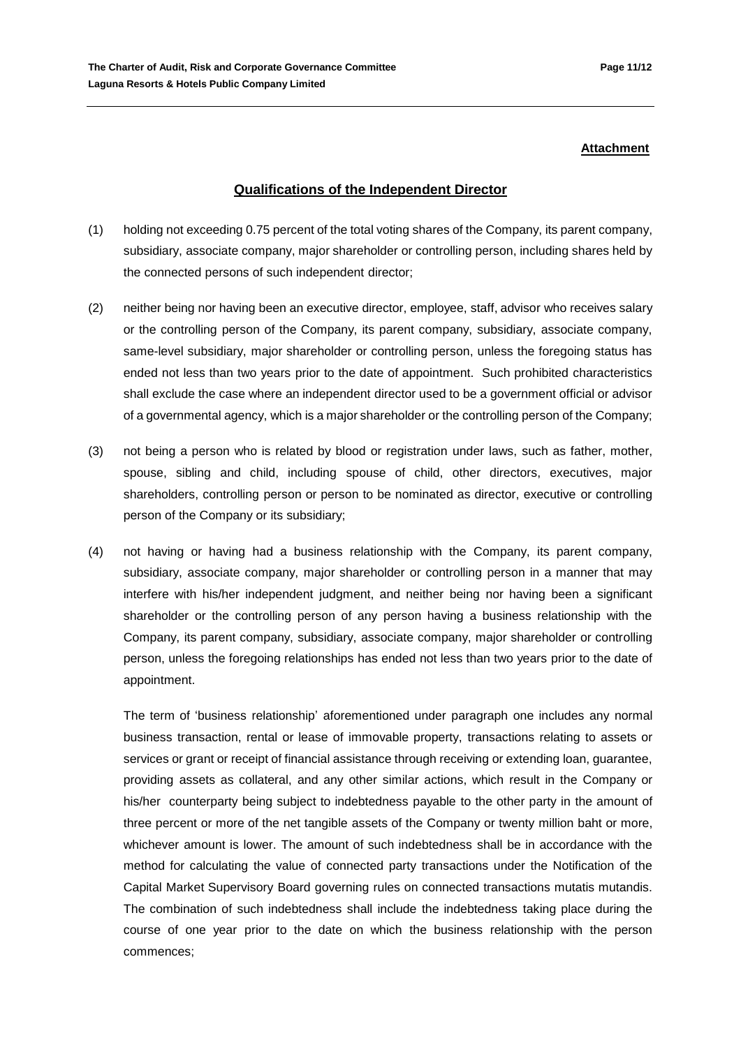#### **Attachment**

# **Qualifications of the Independent Director**

- (1) holding not exceeding 0.75 percent of the total voting shares of the Company, its parent company, subsidiary, associate company, major shareholder or controlling person, including shares held by the connected persons of such independent director;
- (2) neither being nor having been an executive director, employee, staff, advisor who receives salary or the controlling person of the Company, its parent company, subsidiary, associate company, same-level subsidiary, major shareholder or controlling person, unless the foregoing status has ended not less than two years prior to the date of appointment. Such prohibited characteristics shall exclude the case where an independent director used to be a government official or advisor of a governmental agency, which is a major shareholder or the controlling person of the Company;
- (3) not being a person who is related by blood or registration under laws, such as father, mother, spouse, sibling and child, including spouse of child, other directors, executives, major shareholders, controlling person or person to be nominated as director, executive or controlling person of the Company or its subsidiary;
- (4) not having or having had a business relationship with the Company, its parent company, subsidiary, associate company, major shareholder or controlling person in a manner that may interfere with his/her independent judgment, and neither being nor having been a significant shareholder or the controlling person of any person having a business relationship with the Company, its parent company, subsidiary, associate company, major shareholder or controlling person, unless the foregoing relationships has ended not less than two years prior to the date of appointment.

The term of 'business relationship' aforementioned under paragraph one includes any normal business transaction, rental or lease of immovable property, transactions relating to assets or services or grant or receipt of financial assistance through receiving or extending loan, guarantee, providing assets as collateral, and any other similar actions, which result in the Company or his/her counterparty being subject to indebtedness payable to the other party in the amount of three percent or more of the net tangible assets of the Company or twenty million baht or more, whichever amount is lower. The amount of such indebtedness shall be in accordance with the method for calculating the value of connected party transactions under the Notification of the Capital Market Supervisory Board governing rules on connected transactions mutatis mutandis. The combination of such indebtedness shall include the indebtedness taking place during the course of one year prior to the date on which the business relationship with the person commences;